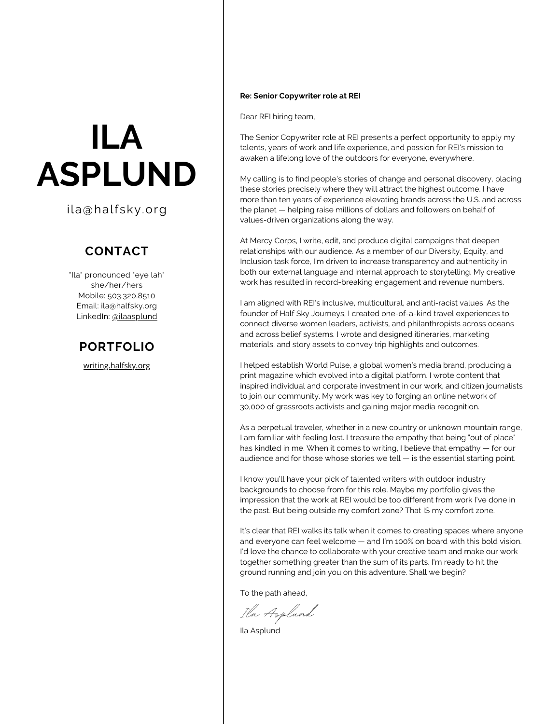# **ILA ASPLUND**

ila@halfsky.org

# **CONTACT**

"Ila" pronounced "eye lah" she/her/hers Mobile: 503.320.8510 Email: ila@halfsky.org LinkedIn: [@ilaasplund](https://www.linkedin.com/in/ilaasplund/)

## **PORTFOLIO**

[writing.halfsky.org](https://writing.halfsky.org/)

#### **Re: Senior Copywriter role at REI**

Dear REI hiring team,

The Senior Copywriter role at REI presents a perfect opportunity to apply my talents, years of work and life experience, and passion for REI's mission to awaken a lifelong love of the outdoors for everyone, everywhere.

My calling is to find people's stories of change and personal discovery, placing these stories precisely where they will attract the highest outcome. I have more than ten years of experience elevating brands across the U.S. and across the planet — helping raise millions of dollars and followers on behalf of values-driven organizations along the way.

At Mercy Corps, I write, edit, and produce digital campaigns that deepen relationships with our audience. As a member of our Diversity, Equity, and Inclusion task force, I'm driven to increase transparency and authenticity in both our external language and internal approach to storytelling. My creative work has resulted in record-breaking engagement and revenue numbers.

I am aligned with REI's inclusive, multicultural, and anti-racist values. As the founder of Half Sky Journeys, I created one-of-a-kind travel experiences to connect diverse women leaders, activists, and philanthropists across oceans and across belief systems. I wrote and designed itineraries, marketing materials, and story assets to convey trip highlights and outcomes.

I helped establish World Pulse, a global women's media brand, producing a print magazine which evolved into a digital platform. I wrote content that inspired individual and corporate investment in our work, and citizen journalists to join our community. My work was key to forging an online network of 30,000 of grassroots activists and gaining major media recognition.

As a perpetual traveler, whether in a new country or unknown mountain range, I am familiar with feeling lost. I treasure the empathy that being "out of place" has kindled in me. When it comes to writing, I believe that empathy — for our audience and for those whose stories we tell — is the essential starting point.

I know you'll have your pick of talented writers with outdoor industry backgrounds to choose from for this role. Maybe my portfolio gives the impression that the work at REI would be too different from work I've done in the past. But being outside my comfort zone? That IS my comfort zone.

It's clear that REI walks its talk when it comes to creating spaces where anyone and everyone can feel welcome — and I'm 100% on board with this bold vision. I'd love the chance to collaborate with your creative team and make our work together something greater than the sum of its parts. I'm ready to hit the ground running and join you on this adventure. Shall we begin?

To the path ahead,

Ila Asplund

Ila Asplund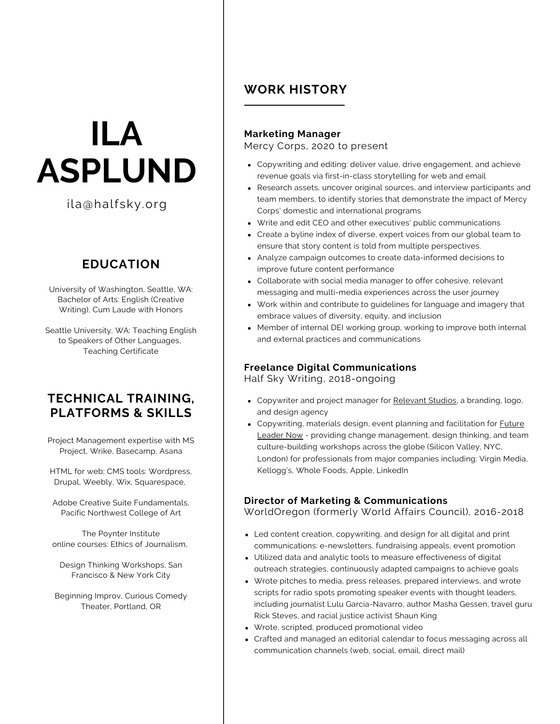# **ILA ASPLUND**

ila@halfsky.org

# **EDUCATION**

University of Washington, Seattle, WA: Bachelor of Arts: English (Creative Writing), Cum Laude with Honors

Seattle University, WA: Teaching English to Speakers of Other Languages, Teaching Certificate

## **TECHNICAL TRAINING, PLATFORMS & SKILLS**

Project Management expertise with MS Project, Wrike, Basecamp, Asana

HTML for web; CMS tools: Wordpress, Drupal, Weebly, Wix, Squarespace,

Adobe Creative Suite Fundamentals, Pacific Northwest College of Art

The Poynter Institute online courses: Ethics of Journalism,

Design Thinking Workshops, San Francisco & New York City

Beginning Improv, Curious Comedy Theater, Portland, OR

# **WORK HISTORY**

### **Marketing Manager**

Mercy Corps, 2020 to present

- Copywriting and editing: deliver value, drive engagement, and achieve revenue goals via first-in-class storytelling for web and email
- Research assets, uncover original sources, and interview participants and team members, to identify stories that demonstrate the impact of Mercy Corps' domestic and international programs
- Write and edit CEO and other executives' public communications
- Create a byline index of diverse, expert voices from our global team to ensure that story content is told from multiple perspectives.
- Analyze campaign outcomes to create data-informed decisions to improve future content performance
- Collaborate with social media manager to offer cohesive, relevant messaging and multi-media experiences across the user journey
- Work within and contribute to guidelines for language and imagery that embrace values of diversity, equity, and inclusion
- Member of internal DEI working group, working to improve both internal and external practices and communications

### **Freelance Digital Communications**

Half Sky Writing, 2018-ongoing

- Copywriter and project manager for [Relevant](http://relevantstudios.com/) Studios, a branding, logo, and design agency
- Copywriting, materials design, event planning and facilitation for **Future** Leader Now - providing change [management,](https://www.flynconsulting.com/) design thinking, and team culture-building workshops across the globe (Silicon Valley, NYC, London) for professionals from major companies including: Virgin Media, Kellogg's, Whole Foods, Apple, LinkedIn

### **Director of Marketing & Communications**

WorldOregon (formerly World Affairs Council), 2016-2018

- Led content creation, copywriting, and design for all digital and print communications: e-newsletters, fundraising appeals, event promotion
- Utilized data and analytic tools to measure effectiveness of digital outreach strategies, continuously adapted campaigns to achieve goals
- Wrote pitches to media, press releases, prepared interviews, and wrote scripts for radio spots promoting speaker events with thought leaders, including journalist Lulu Garcia-Navarro, author Masha Gessen, travel guru Rick Steves, and racial justice activist Shaun King
- Wrote, scripted, produced promotional video
- Crafted and managed an editorial calendar to focus messaging across all communication channels (web, social, email, direct mail)